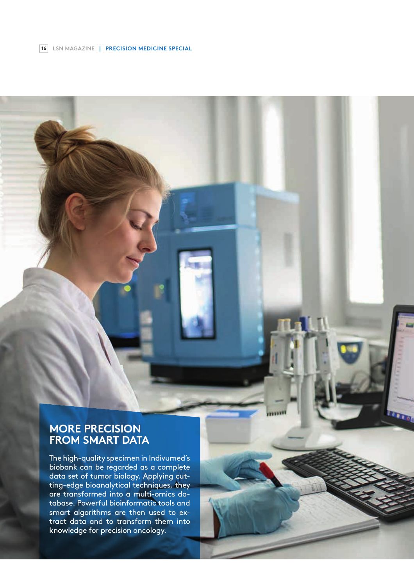## **MORE PRECISION FROM SMART DATA**

The high-quality specimen in Indivumed's biobank can be regarded as a complete data set of tumor biology. Applying cutting-edge bioanalytical techniques, they are transformed into a multi-omics database. Powerful bioinformatic tools and smart algorithms are then used to extract data and to transform them into knowledge for precision oncology.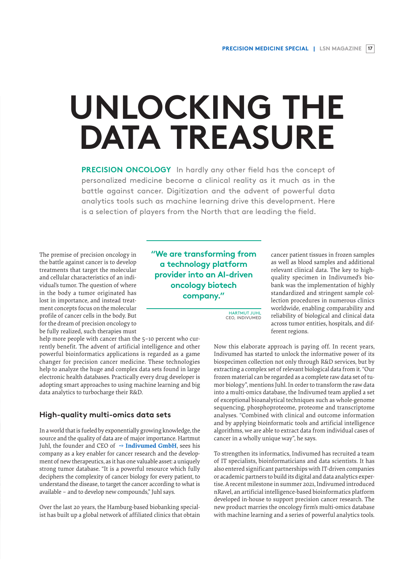# **UNLOCKING THE DATA TREASURE**

**PRECISION ONCOLOGY** In hardly any other field has the concept of personalized medicine become a clinical reality as it much as in the battle against cancer. Digitization and the advent of powerful data analytics tools such as machine learning drive this development. Here is a selection of players from the North that are leading the field.

The premise of precision oncology in the battle against cancer is to develop treatments that target the molecular and cellular characteristics of an individual's tumor. The question of where in the body a tumor originated has lost in importance, and instead treatment concepts focus on the molecular profile of cancer cells in the body. But for the dream of precision oncology to be fully realized, such therapies must

help more people with cancer than the 5-10 percent who currently benefit. The advent of artificial intelligence and other powerful bioinformatics applications is regarded as a game changer for precision cancer medicine. These technologies help to analyze the huge and complex data sets found in large electronic health databases. Practically every drug developer is adopting smart approaches to using machine learning and big data analytics to turbocharge their R&D.

#### **High-quality multi-omics data sets**

In a world that is fueled by exponentially growing knowledge, the source and the quality of data are of major importance. Hartmut Juhl, the founder and CEO of → **Indivumed GmbH**, sees his company as a key enabler for cancer research and the development of new therapeutics, as it has one valuable asset: a uniquely strong tumor database. "It is a powerful resource which fully deciphers the complexity of cancer biology for every patient, to understand the disease, to target the cancer according to what is available – and to develop new compounds," Juhl says.

Over the last 20 years, the Hamburg-based biobanking specialist has built up a global network of affiliated clinics that obtain

**"We are transforming from a technology platform provider into an AI-driven oncology biotech company."**

> HARTMUT JUHL CEO, INDIVUMED

cancer patient tissues in frozen samples as well as blood samples and additional relevant clinical data. The key to highquality specimen in Indivumed's biobank was the implementation of highly standardized and stringent sample collection procedures in numerous clinics worldwide, enabling comparability and reliability of biological and clinical data across tumor entities, hospitals, and different regions.

Now this elaborate approach is paying off. In recent years, Indivumed has started to unlock the informative power of its biospecimen collection not only through R&D services, but by extracting a complex set of relevant biological data from it. "Our frozen material can be regarded as a complete raw data set of tumor biology", mentions Juhl. In order to transform the raw data into a multi-omics database, the Indivumed team applied a set of exceptional bioanalytical techniques such as whole-genome sequencing, phosphoproteome, proteome and transcriptome analyses. "Combined with clinical and outcome information and by applying bioinformatic tools and artificial intelligence algorithms, we are able to extract data from individual cases of cancer in a wholly unique way", he says.

To strengthen its informatics, Indivumed has recruited a team of IT specialists, bioinformaticians and data scientists. It has also entered significant partnerships with IT-driven companies or academic partners to build its digital and data analytics expertise. A recent milestone in summer 2021, Indivumed introduced nRavel, an artificial intelligence-based bioinformatics platform developed in-house to support precision cancer research. The new product marries the oncology firm's multi-omics database with machine learning and a series of powerful analytics tools.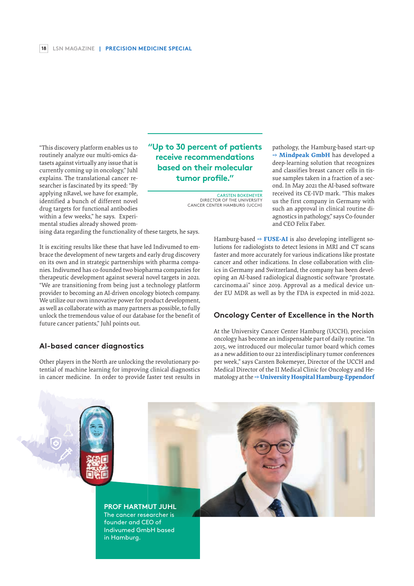"This discovery platform enables us to routinely analyze our multi-omics datasets against virtually any issue that is currently coming up in oncology," Juhl explains. The translational cancer researcher is fascinated by its speed: "By applying nRavel, we have for example, identified a bunch of different novel drug targets for functional antibodies within a few weeks," he says. Experimental studies already showed prom**"Up to 30 percent of patients receive recommendations based on their molecular tumor profile."** 

> CARSTEN BOKEMEYER DIRECTOR OF THE UNIVERSITY CANCER CENTER HAMBURG (UCCH)

pathology, the Hamburg-based start-up **! Mindpeak GmbH** has developed a deep-learning solution that recognizes and classifies breast cancer cells in tissue samples taken in a fraction of a second. In May 2021 the AI-based software received its CE-IVD mark. "This makes us the first company in Germany with such an approval in clinical routine diagnostics in pathology," says Co-founder and CEO Felix Faber.

ising data regarding the functionality of these targets, he says.

It is exciting results like these that have led Indivumed to embrace the development of new targets and early drug discovery on its own and in strategic partnerships with pharma companies. Indivumed has co-founded two biopharma companies for therapeutic development against several novel targets in 2021. "We are transitioning from being just a technology platform provider to becoming an AI-driven oncology biotech company. We utilize our own innovative power for product development, as well as collaborate with as many partners as possible, to fully unlock the tremendous value of our database for the benefit of future cancer patients," Juhl points out.

### **AI-based cancer diagnostics**

Other players in the North are unlocking the revolutionary potential of machine learning for improving clinical diagnostics in cancer medicine. In order to provide faster test results in

in Hamburg.

Hamburg-based → FUSE-AI is also developing intelligent solutions for radiologists to detect lesions in MRI and CT scans faster and more accurately for various indications like prostate cancer and other indications. In close collaboration with clinics in Germany and Switzerland, the company has been developing an AI-based radiological diagnostic software "prostate. carcinoma.ai" since 2019. Approval as a medical device under EU MDR as well as by the FDA is expected in mid-2022.

#### **Oncology Center of Excellence in the North**

At the University Cancer Center Hamburg (UCCH), precision oncology has become an indispensable part of daily routine. "In 2015, we introduced our molecular tumor board which comes as a new addition to our 22 interdisciplinary tumor conferences per week," says Carsten Bokemeyer, Director of the UCCH and Medical Director of the II Medical Clinic for Oncology and Hematology at the **! University Hospital Hamburg-Eppendorf**